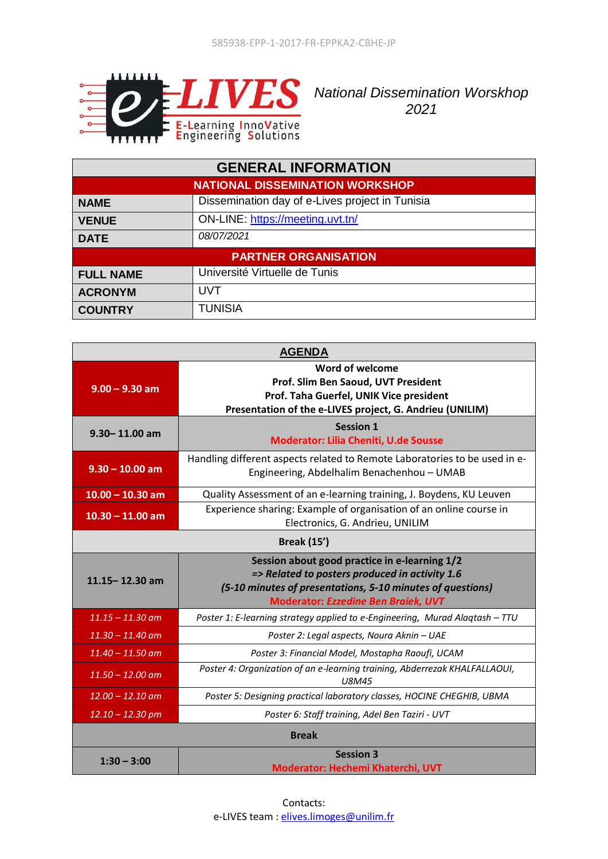

**NATIS** National Dissemination Worskhop *2021*

| <b>GENERAL INFORMATION</b>             |                                                 |  |
|----------------------------------------|-------------------------------------------------|--|
| <b>NATIONAL DISSEMINATION WORKSHOP</b> |                                                 |  |
| <b>NAME</b>                            | Dissemination day of e-Lives project in Tunisia |  |
| <b>VENUE</b>                           | ON-LINE: https://meeting.uvt.tn/                |  |
| <b>DATE</b>                            | 08/07/2021                                      |  |
| <b>PARTNER ORGANISATION</b>            |                                                 |  |
| <b>FULL NAME</b>                       | Université Virtuelle de Tunis                   |  |
| <b>ACRONYM</b>                         | UVT                                             |  |
| <b>COUNTRY</b>                         | <b>TUNISIA</b>                                  |  |

| <b>AGENDA</b>      |                                                                                                                                                                                                             |  |
|--------------------|-------------------------------------------------------------------------------------------------------------------------------------------------------------------------------------------------------------|--|
| $9.00 - 9.30$ am   | Word of welcome<br>Prof. Slim Ben Saoud, UVT President<br>Prof. Taha Guerfel, UNIK Vice president<br>Presentation of the e-LIVES project, G. Andrieu (UNILIM)                                               |  |
| $9.30 - 11.00$ am  | <b>Session 1</b><br><b>Moderator: Lilia Cheniti, U.de Sousse</b>                                                                                                                                            |  |
| $9.30 - 10.00$ am  | Handling different aspects related to Remote Laboratories to be used in e-<br>Engineering, Abdelhalim Benachenhou - UMAB                                                                                    |  |
| $10.00 - 10.30$ am | Quality Assessment of an e-learning training, J. Boydens, KU Leuven                                                                                                                                         |  |
| $10.30 - 11.00$ am | Experience sharing: Example of organisation of an online course in<br>Electronics, G. Andrieu, UNILIM                                                                                                       |  |
| <b>Break (15')</b> |                                                                                                                                                                                                             |  |
| $11.15 - 12.30$ am | Session about good practice in e-learning 1/2<br>=> Related to posters produced in activity 1.6<br>(5-10 minutes of presentations, 5-10 minutes of questions)<br><b>Moderator: Ezzedine Ben Braiek, UVT</b> |  |
| $11.15 - 11.30$ am | Poster 1: E-learning strategy applied to e-Engineering, Murad Alaqtash - TTU                                                                                                                                |  |
| $11.30 - 11.40$ am | Poster 2: Legal aspects, Noura Aknin - UAE                                                                                                                                                                  |  |
| $11.40 - 11.50$ am | Poster 3: Financial Model, Mostapha Raoufi, UCAM                                                                                                                                                            |  |
| $11.50 - 12.00$ am | Poster 4: Organization of an e-learning training, Abderrezak KHALFALLAOUI,<br>U8M45                                                                                                                         |  |
| $12.00 - 12.10$ am | Poster 5: Designing practical laboratory classes, HOCINE CHEGHIB, UBMA                                                                                                                                      |  |
| $12.10 - 12.30$ pm | Poster 6: Staff training, Adel Ben Taziri - UVT                                                                                                                                                             |  |
| <b>Break</b>       |                                                                                                                                                                                                             |  |
| $1:30 - 3:00$      | <b>Session 3</b><br>Moderator: Hechemi Khaterchi, UVT                                                                                                                                                       |  |